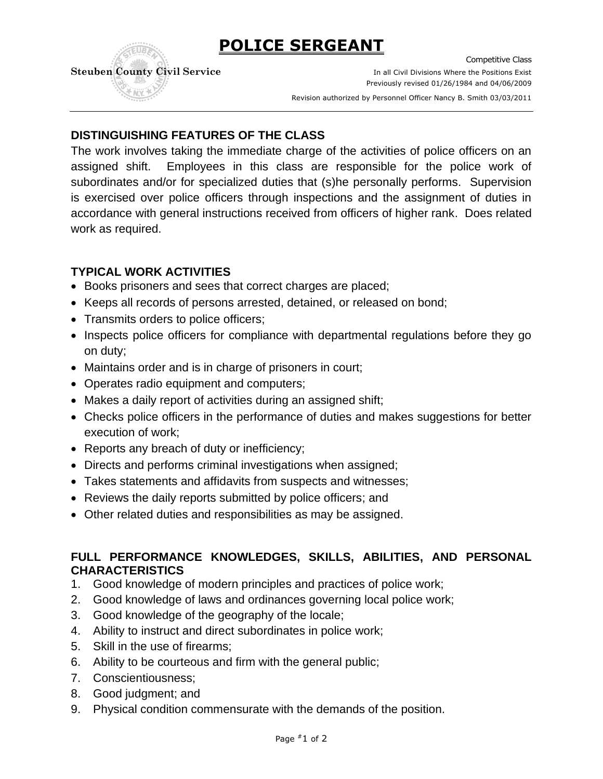# **POLICE SERGEANT**



Competitive Class **Steuben County Civil Service In all Civil Divisions Where the Positions Exist** Previously revised 01/26/1984 and 04/06/2009

. Revision authorized by Personnel Officer Nancy B. Smith 03/03/2011

# **DISTINGUISHING FEATURES OF THE CLASS**

The work involves taking the immediate charge of the activities of police officers on an assigned shift. Employees in this class are responsible for the police work of subordinates and/or for specialized duties that (s)he personally performs. Supervision is exercised over police officers through inspections and the assignment of duties in accordance with general instructions received from officers of higher rank. Does related work as required.

## **TYPICAL WORK ACTIVITIES**

- Books prisoners and sees that correct charges are placed;
- Keeps all records of persons arrested, detained, or released on bond;
- Transmits orders to police officers;
- Inspects police officers for compliance with departmental regulations before they go on duty;
- Maintains order and is in charge of prisoners in court;
- Operates radio equipment and computers;
- Makes a daily report of activities during an assigned shift;
- Checks police officers in the performance of duties and makes suggestions for better execution of work;
- Reports any breach of duty or inefficiency;
- Directs and performs criminal investigations when assigned;
- Takes statements and affidavits from suspects and witnesses;
- Reviews the daily reports submitted by police officers; and
- Other related duties and responsibilities as may be assigned.

## **FULL PERFORMANCE KNOWLEDGES, SKILLS, ABILITIES, AND PERSONAL CHARACTERISTICS**

- 1. Good knowledge of modern principles and practices of police work;
- 2. Good knowledge of laws and ordinances governing local police work;
- 3. Good knowledge of the geography of the locale;
- 4. Ability to instruct and direct subordinates in police work;
- 5. Skill in the use of firearms;
- 6. Ability to be courteous and firm with the general public;
- 7. Conscientiousness;
- 8. Good judgment; and
- 9. Physical condition commensurate with the demands of the position.